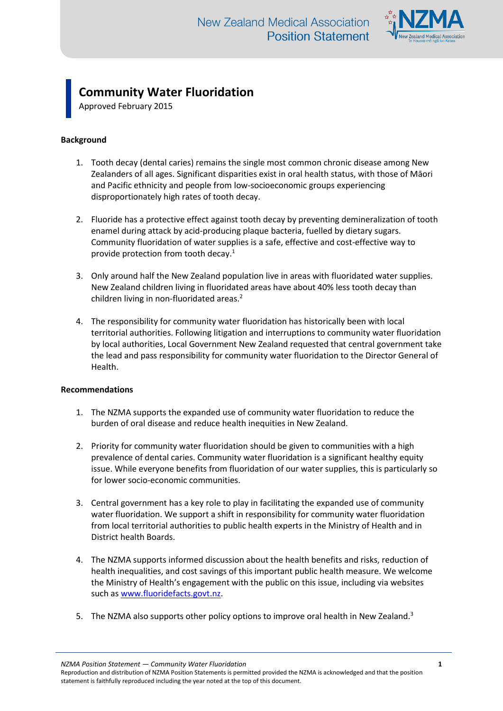

## **Community Water Fluoridation**

Approved February 2015

## **Background**

- 1. Tooth decay (dental caries) remains the single most common chronic disease among New Zealanders of all ages. Significant disparities exist in oral health status, with those of Māori and Pacific ethnicity and people from low-socioeconomic groups experiencing disproportionately high rates of tooth decay.
- 2. Fluoride has a protective effect against tooth decay by preventing demineralization of tooth enamel during attack by acid-producing plaque bacteria, fuelled by dietary sugars. Community fluoridation of water supplies is a safe, effective and cost-effective way to provide protection from tooth decay.<sup>1</sup>
- 3. Only around half the New Zealand population live in areas with fluoridated water supplies. New Zealand children living in fluoridated areas have about 40% less tooth decay than children living in non-fluoridated areas.<sup>2</sup>
- 4. The responsibility for community water fluoridation has historically been with local territorial authorities. Following litigation and interruptions to community water fluoridation by local authorities, Local Government New Zealand requested that central government take the lead and pass responsibility for community water fluoridation to the Director General of Health.

## **Recommendations**

- 1. The NZMA supports the expanded use of community water fluoridation to reduce the burden of oral disease and reduce health inequities in New Zealand.
- 2. Priority for community water fluoridation should be given to communities with a high prevalence of dental caries. Community water fluoridation is a significant healthy equity issue. While everyone benefits from fluoridation of our water supplies, this is particularly so for lower socio-economic communities.
- 3. Central government has a key role to play in facilitating the expanded use of community water fluoridation. We support a shift in responsibility for community water fluoridation from local territorial authorities to public health experts in the Ministry of Health and in District health Boards.
- 4. The NZMA supports informed discussion about the health benefits and risks, reduction of health inequalities, and cost savings of this important public health measure. We welcome the Ministry of Health's engagement with the public on this issue, including via websites such as [www.fluoridefacts.govt.nz.](http://www.fluoridefacts.govt.nz/)
- 5. The NZMA also supports other policy options to improve oral health in New Zealand.<sup>3</sup>

*NZMA Position Statement — Community Water Fluoridation* **1**

Reproduction and distribution of NZMA Position Statements is permitted provided the NZMA is acknowledged and that the position statement is faithfully reproduced including the year noted at the top of this document.